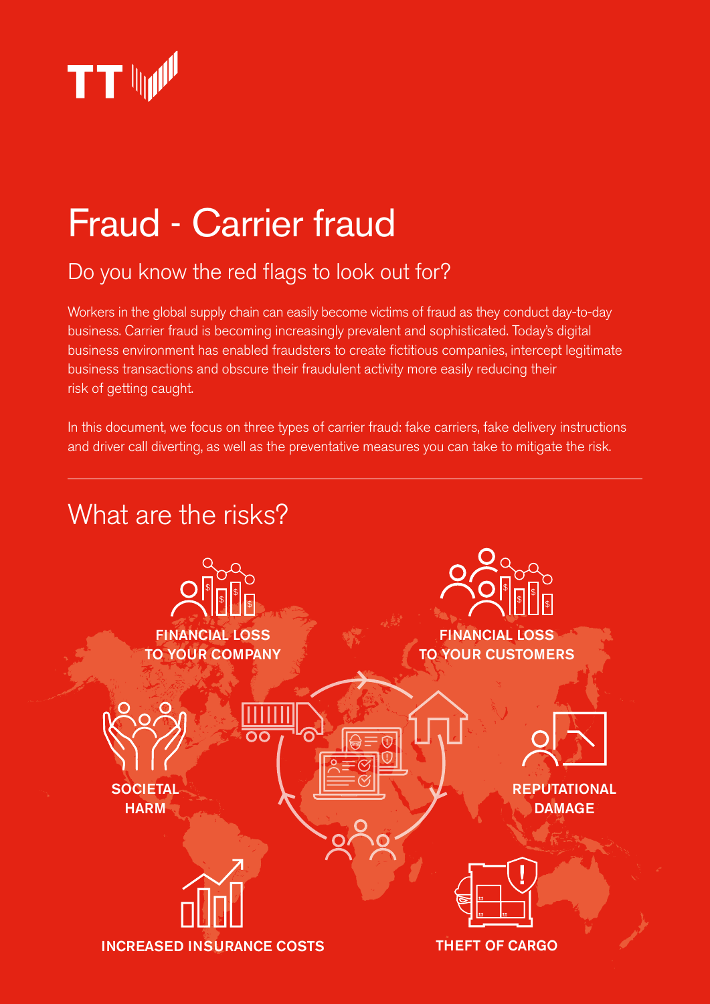

# Fraud - Carrier fraud

# Do you know the red flags to look out for?

Workers in the global supply chain can easily become victims of fraud as they conduct day-to-day business. Carrier fraud is becoming increasingly prevalent and sophisticated. Today's digital business environment has enabled fraudsters to create fictitious companies, intercept legitimate business transactions and obscure their fraudulent activity more easily reducing their risk of getting caught.

In this document, we focus on three types of carrier fraud: fake carriers, fake delivery instructions and driver call diverting, as well as the preventative measures you can take to mitigate the risk.